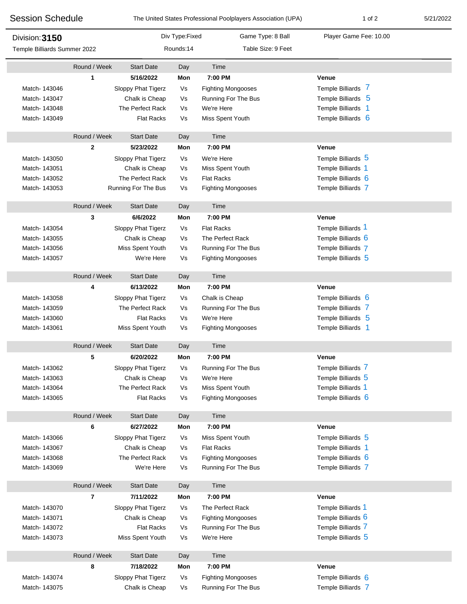| <b>Session Schedule</b>                        |              |                                      |           | The United States Professional Poolplayers Association (UPA) | 1 of 2                 | 5/21/2022 |  |
|------------------------------------------------|--------------|--------------------------------------|-----------|--------------------------------------------------------------|------------------------|-----------|--|
| Division: 3150<br>Temple Billiards Summer 2022 |              | Div Type: Fixed<br>Game Type: 8 Ball |           |                                                              | Player Game Fee: 10.00 |           |  |
|                                                |              |                                      | Rounds:14 | Table Size: 9 Feet                                           |                        |           |  |
|                                                | Round / Week | <b>Start Date</b>                    | Day       | Time                                                         |                        |           |  |
|                                                | 1            | 5/16/2022                            | Mon       | 7:00 PM                                                      | Venue                  |           |  |
| Match- 143046                                  |              | Sloppy Phat Tigerz                   | Vs        | <b>Fighting Mongooses</b>                                    | Temple Billiards 7     |           |  |
| Match- 143047                                  |              | Chalk is Cheap                       | Vs        | Running For The Bus                                          | Temple Billiards 5     |           |  |
| Match- 143048                                  |              | The Perfect Rack                     | Vs        | We're Here                                                   | Temple Billiards 1     |           |  |
| Match- 143049                                  |              | <b>Flat Racks</b>                    | Vs        | Miss Spent Youth                                             | Temple Billiards 6     |           |  |
|                                                | Round / Week | <b>Start Date</b>                    | Day       | Time                                                         |                        |           |  |
|                                                | 2            | 5/23/2022                            | Mon       | 7:00 PM                                                      | Venue                  |           |  |
| Match- 143050                                  |              | Sloppy Phat Tigerz                   | Vs        | We're Here                                                   | Temple Billiards 5     |           |  |
| Match-143051                                   |              | Chalk is Cheap                       | Vs        | Miss Spent Youth                                             | Temple Billiards 1     |           |  |
| Match- 143052                                  |              | The Perfect Rack                     | Vs        | <b>Flat Racks</b>                                            | Temple Billiards 6     |           |  |
| Match-143053                                   |              | Running For The Bus                  | Vs        | <b>Fighting Mongooses</b>                                    | Temple Billiards 7     |           |  |
|                                                | Round / Week | <b>Start Date</b>                    | Day       | Time                                                         |                        |           |  |
|                                                | 3            | 6/6/2022                             | Mon       | 7:00 PM                                                      | Venue                  |           |  |
| Match-143054                                   |              | Sloppy Phat Tigerz                   | Vs        | <b>Flat Racks</b>                                            | Temple Billiards 1     |           |  |
| Match-143055                                   |              | Chalk is Cheap                       | Vs        | The Perfect Rack                                             | Temple Billiards 6     |           |  |
| Match- 143056                                  |              | Miss Spent Youth                     | Vs        | Running For The Bus                                          | Temple Billiards 7     |           |  |
| Match- 143057                                  |              | We're Here                           | Vs        | <b>Fighting Mongooses</b>                                    | Temple Billiards 5     |           |  |
|                                                |              |                                      |           |                                                              |                        |           |  |
|                                                | Round / Week | <b>Start Date</b>                    | Day       | Time                                                         |                        |           |  |
|                                                | 4            | 6/13/2022                            | Mon       | 7:00 PM                                                      | <b>Venue</b>           |           |  |
| Match- 143058                                  |              | Sloppy Phat Tigerz                   | Vs        | Chalk is Cheap                                               | Temple Billiards 6     |           |  |
| Match- 143059                                  |              | The Perfect Rack                     | Vs        | Running For The Bus                                          | Temple Billiards 7     |           |  |
| Match- 143060                                  |              | <b>Flat Racks</b>                    | Vs        | We're Here                                                   | Temple Billiards 5     |           |  |
| Match-143061                                   |              | Miss Spent Youth                     | Vs        | <b>Fighting Mongooses</b>                                    | Temple Billiards 1     |           |  |
|                                                | Round / Week | <b>Start Date</b>                    | Day       | Time                                                         |                        |           |  |
|                                                | 5            | 6/20/2022                            | Mon       | 7:00 PM                                                      | Venue                  |           |  |
| Match- 143062                                  |              | Sloppy Phat Tigerz                   | Vs        | Running For The Bus                                          | Temple Billiards 7     |           |  |
| Match-143063                                   |              | Chalk is Cheap                       | Vs        | We're Here                                                   | Temple Billiards 5     |           |  |
| Match-143064                                   |              | The Perfect Rack                     | Vs        | Miss Spent Youth                                             | Temple Billiards 1     |           |  |
| Match-143065                                   |              | <b>Flat Racks</b>                    | Vs        | <b>Fighting Mongooses</b>                                    | Temple Billiards 6     |           |  |
|                                                | Round / Week | <b>Start Date</b>                    | Day       | Time                                                         |                        |           |  |
|                                                | 6            | 6/27/2022                            | Mon       | 7:00 PM                                                      | Venue                  |           |  |
| Match- 143066                                  |              | Sloppy Phat Tigerz                   | Vs        | Miss Spent Youth                                             | Temple Billiards 5     |           |  |
| Match- 143067                                  |              | Chalk is Cheap                       | Vs        | <b>Flat Racks</b>                                            | Temple Billiards 1     |           |  |
| Match- 143068                                  |              | The Perfect Rack                     | Vs        | <b>Fighting Mongooses</b>                                    | Temple Billiards 6     |           |  |
| Match- 143069                                  |              | We're Here                           | Vs        | Running For The Bus                                          | Temple Billiards 7     |           |  |
|                                                | Round / Week | <b>Start Date</b>                    | Day       | Time                                                         |                        |           |  |
|                                                | 7            | 7/11/2022                            | Mon       | 7:00 PM                                                      | <b>Venue</b>           |           |  |
| Match- 143070                                  |              | Sloppy Phat Tigerz                   | Vs        | The Perfect Rack                                             | Temple Billiards 1     |           |  |
| Match-143071                                   |              | Chalk is Cheap                       | Vs        | <b>Fighting Mongooses</b>                                    | Temple Billiards 6     |           |  |
| Match-143072                                   |              | <b>Flat Racks</b>                    | Vs        | Running For The Bus                                          | Temple Billiards 7     |           |  |
| Match- 143073                                  |              | Miss Spent Youth                     | Vs        | We're Here                                                   | Temple Billiards 5     |           |  |
|                                                | Round / Week | <b>Start Date</b>                    | Day       | Time                                                         |                        |           |  |
|                                                | 8            | 7/18/2022                            | Mon       | 7:00 PM                                                      | Venue                  |           |  |
| Match- 143074                                  |              | Sloppy Phat Tigerz                   | Vs        | <b>Fighting Mongooses</b>                                    | Temple Billiards 6     |           |  |
| Match-143075                                   |              | Chalk is Cheap                       | Vs        | Running For The Bus                                          | Temple Billiards 7     |           |  |
|                                                |              |                                      |           |                                                              |                        |           |  |